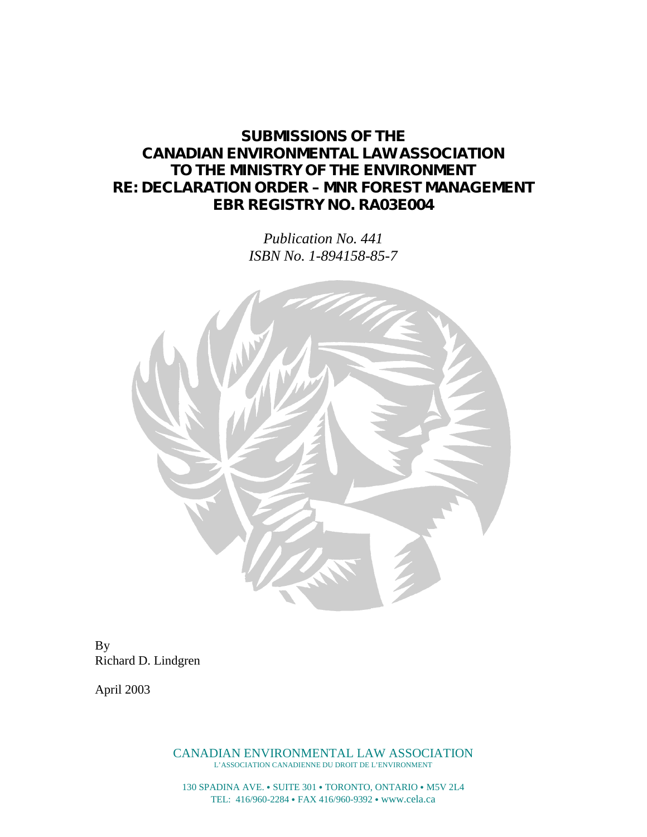# **SUBMISSIONS OF THE CANADIAN ENVIRONMENTAL LAW ASSOCIATION TO THE MINISTRY OF THE ENVIRONMENT RE: DECLARATION ORDER – MNR FOREST MANAGEMENT EBR REGISTRY NO. RA03E004**

*Publication No. 441 ISBN No. 1-894158-85-7*



By Richard D. Lindgren

April 2003

CANADIAN ENVIRONMENTAL LAW ASSOCIATION L'ASSOCIATION CANADIENNE DU DROIT DE L'ENVIRONMENT

130 SPADINA AVE. • SUITE 301 • TORONTO, ONTARIO • M5V 2L4 TEL: 416/960-2284 FAX 416/960-9392 www.cela.ca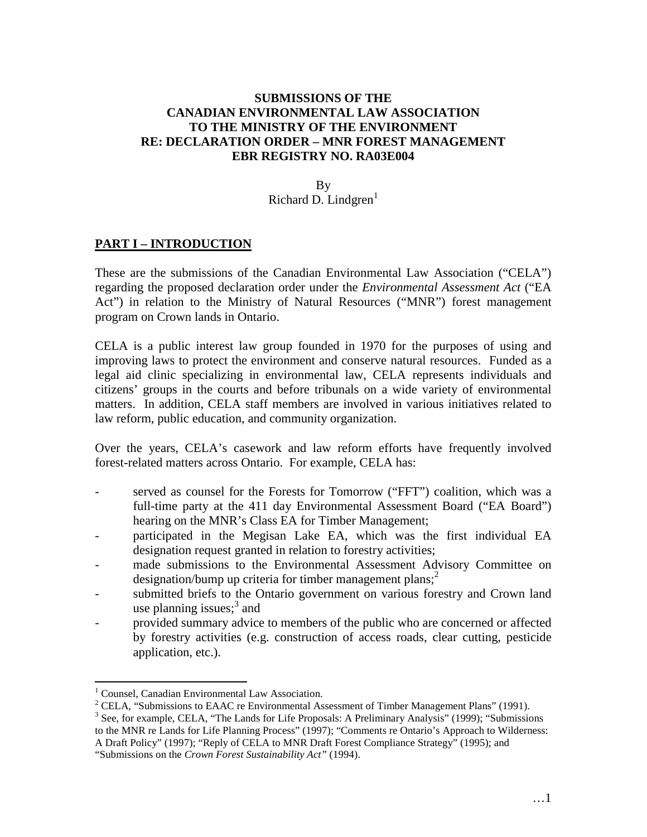### **SUBMISSIONS OF THE CANADIAN ENVIRONMENTAL LAW ASSOCIATION TO THE MINISTRY OF THE ENVIRONMENT RE: DECLARATION ORDER – MNR FOREST MANAGEMENT EBR REGISTRY NO. RA03E004**

By Richard D. Lindgren $<sup>1</sup>$ </sup>

#### **PART I – INTRODUCTION**

These are the submissions of the Canadian Environmental Law Association ("CELA") regarding the proposed declaration order under the *Environmental Assessment Act* ("EA Act") in relation to the Ministry of Natural Resources ("MNR") forest management program on Crown lands in Ontario.

CELA is a public interest law group founded in 1970 for the purposes of using and improving laws to protect the environment and conserve natural resources. Funded as a legal aid clinic specializing in environmental law, CELA represents individuals and citizens' groups in the courts and before tribunals on a wide variety of environmental matters. In addition, CELA staff members are involved in various initiatives related to law reform, public education, and community organization.

Over the years, CELA's casework and law reform efforts have frequently involved forest-related matters across Ontario. For example, CELA has:

- served as counsel for the Forests for Tomorrow ("FFT") coalition, which was a full-time party at the 411 day Environmental Assessment Board ("EA Board") hearing on the MNR's Class EA for Timber Management;
- participated in the Megisan Lake EA, which was the first individual EA designation request granted in relation to forestry activities;
- made submissions to the Environmental Assessment Advisory Committee on designation/bump up criteria for timber management plans; $\overline{a}$
- submitted briefs to the Ontario government on various forestry and Crown land use planning issues; $3$  and
- provided summary advice to members of the public who are concerned or affected by forestry activities (e.g. construction of access roads, clear cutting, pesticide application, etc.).

<sup>&</sup>lt;sup>1</sup> Counsel, Canadian Environmental Law Association.

<sup>&</sup>lt;sup>2</sup> CELA, "Submissions to EAAC re Environmental Assessment of Timber Management Plans" (1991).

<sup>&</sup>lt;sup>3</sup> See, for example, CELA, "The Lands for Life Proposals: A Preliminary Analysis" (1999); "Submissions to the MNR re Lands for Life Planning Process" (1997); "Comments re Ontario's Approach to Wilderness: A Draft Policy" (1997); "Reply of CELA to MNR Draft Forest Compliance Strategy" (1995); and "Submissions on the *Crown Forest Sustainability Act"* (1994).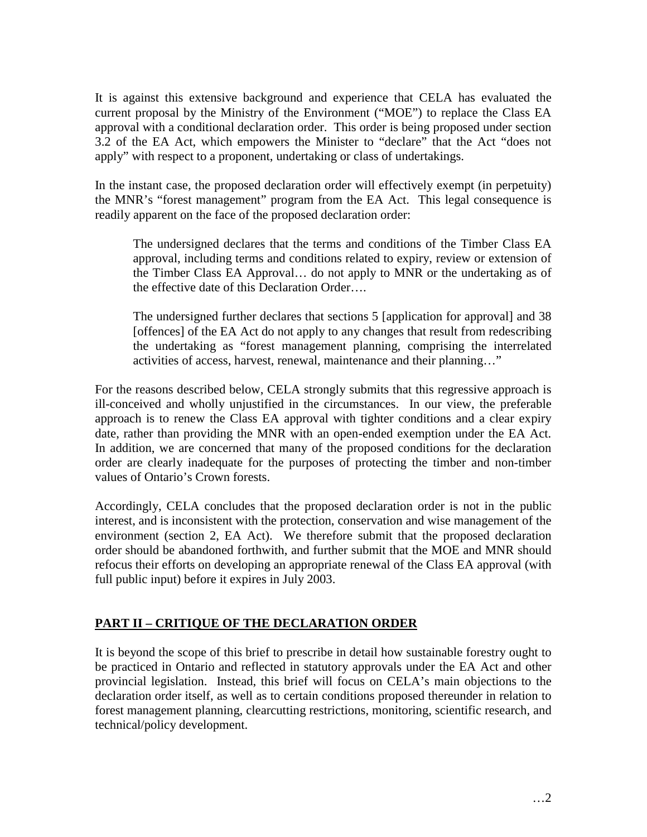It is against this extensive background and experience that CELA has evaluated the current proposal by the Ministry of the Environment ("MOE") to replace the Class EA approval with a conditional declaration order. This order is being proposed under section 3.2 of the EA Act, which empowers the Minister to "declare" that the Act "does not apply" with respect to a proponent, undertaking or class of undertakings.

In the instant case, the proposed declaration order will effectively exempt (in perpetuity) the MNR's "forest management" program from the EA Act. This legal consequence is readily apparent on the face of the proposed declaration order:

The undersigned declares that the terms and conditions of the Timber Class EA approval, including terms and conditions related to expiry, review or extension of the Timber Class EA Approval… do not apply to MNR or the undertaking as of the effective date of this Declaration Order….

The undersigned further declares that sections 5 [application for approval] and 38 [offences] of the EA Act do not apply to any changes that result from redescribing the undertaking as "forest management planning, comprising the interrelated activities of access, harvest, renewal, maintenance and their planning…"

For the reasons described below, CELA strongly submits that this regressive approach is ill-conceived and wholly unjustified in the circumstances. In our view, the preferable approach is to renew the Class EA approval with tighter conditions and a clear expiry date, rather than providing the MNR with an open-ended exemption under the EA Act. In addition, we are concerned that many of the proposed conditions for the declaration order are clearly inadequate for the purposes of protecting the timber and non-timber values of Ontario's Crown forests.

Accordingly, CELA concludes that the proposed declaration order is not in the public interest, and is inconsistent with the protection, conservation and wise management of the environment (section 2, EA Act). We therefore submit that the proposed declaration order should be abandoned forthwith, and further submit that the MOE and MNR should refocus their efforts on developing an appropriate renewal of the Class EA approval (with full public input) before it expires in July 2003.

### **PART II – CRITIQUE OF THE DECLARATION ORDER**

It is beyond the scope of this brief to prescribe in detail how sustainable forestry ought to be practiced in Ontario and reflected in statutory approvals under the EA Act and other provincial legislation. Instead, this brief will focus on CELA's main objections to the declaration order itself, as well as to certain conditions proposed thereunder in relation to forest management planning, clearcutting restrictions, monitoring, scientific research, and technical/policy development.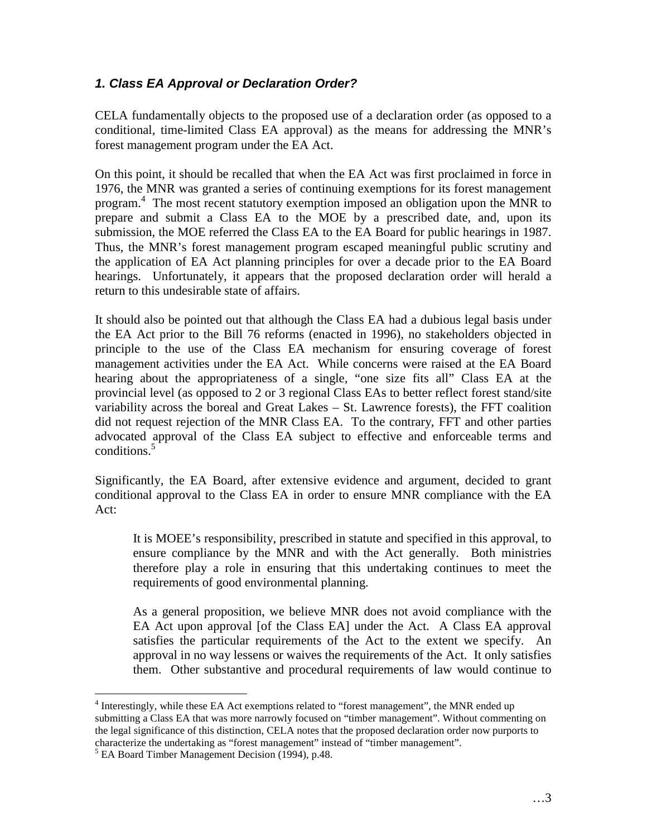## *1. Class EA Approval or Declaration Order?*

CELA fundamentally objects to the proposed use of a declaration order (as opposed to a conditional, time-limited Class EA approval) as the means for addressing the MNR's forest management program under the EA Act.

On this point, it should be recalled that when the EA Act was first proclaimed in force in 1976, the MNR was granted a series of continuing exemptions for its forest management program.<sup>4</sup> The most recent statutory exemption imposed an obligation upon the MNR to prepare and submit a Class EA to the MOE by a prescribed date, and, upon its submission, the MOE referred the Class EA to the EA Board for public hearings in 1987. Thus, the MNR's forest management program escaped meaningful public scrutiny and the application of EA Act planning principles for over a decade prior to the EA Board hearings. Unfortunately, it appears that the proposed declaration order will herald a return to this undesirable state of affairs.

It should also be pointed out that although the Class EA had a dubious legal basis under the EA Act prior to the Bill 76 reforms (enacted in 1996), no stakeholders objected in principle to the use of the Class EA mechanism for ensuring coverage of forest management activities under the EA Act. While concerns were raised at the EA Board hearing about the appropriateness of a single, "one size fits all" Class EA at the provincial level (as opposed to 2 or 3 regional Class EAs to better reflect forest stand/site variability across the boreal and Great Lakes – St. Lawrence forests), the FFT coalition did not request rejection of the MNR Class EA. To the contrary, FFT and other parties advocated approval of the Class EA subject to effective and enforceable terms and conditions.<sup>5</sup>

Significantly, the EA Board, after extensive evidence and argument, decided to grant conditional approval to the Class EA in order to ensure MNR compliance with the EA Act:

It is MOEE's responsibility, prescribed in statute and specified in this approval, to ensure compliance by the MNR and with the Act generally. Both ministries therefore play a role in ensuring that this undertaking continues to meet the requirements of good environmental planning.

As a general proposition, we believe MNR does not avoid compliance with the EA Act upon approval [of the Class EA] under the Act. A Class EA approval satisfies the particular requirements of the Act to the extent we specify. An approval in no way lessens or waives the requirements of the Act. It only satisfies them. Other substantive and procedural requirements of law would continue to

<sup>&</sup>lt;sup>4</sup> Interestingly, while these EA Act exemptions related to "forest management", the MNR ended up submitting a Class EA that was more narrowly focused on "timber management". Without commenting on the legal significance of this distinction, CELA notes that the proposed declaration order now purports to characterize the undertaking as "forest management" instead of "timber management".

<sup>&</sup>lt;sup>5</sup> EA Board Timber Management Decision (1994), p.48.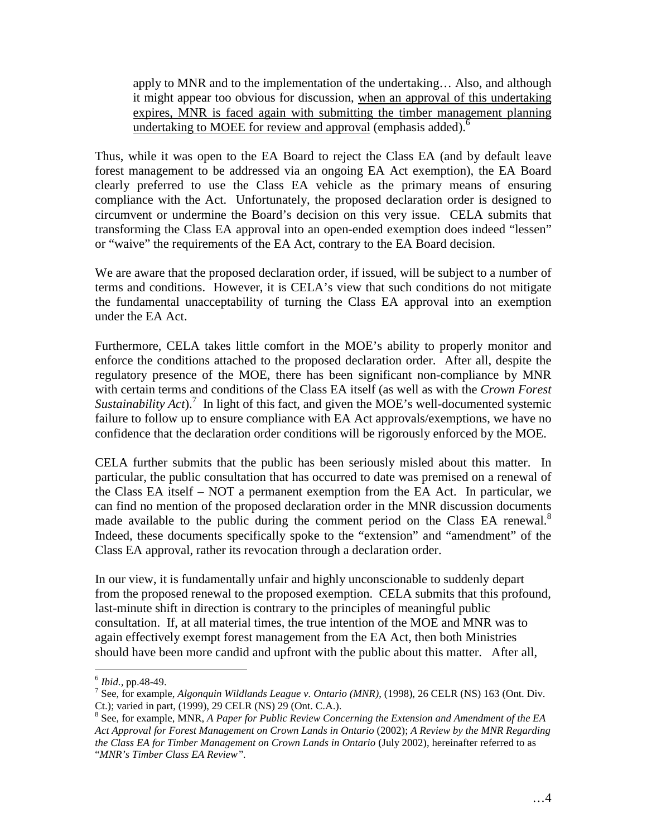apply to MNR and to the implementation of the undertaking… Also, and although it might appear too obvious for discussion, when an approval of this undertaking expires, MNR is faced again with submitting the timber management planning undertaking to MOEE for review and approval (emphasis added).<sup>6</sup>

Thus, while it was open to the EA Board to reject the Class EA (and by default leave forest management to be addressed via an ongoing EA Act exemption), the EA Board clearly preferred to use the Class EA vehicle as the primary means of ensuring compliance with the Act. Unfortunately, the proposed declaration order is designed to circumvent or undermine the Board's decision on this very issue. CELA submits that transforming the Class EA approval into an open-ended exemption does indeed "lessen" or "waive" the requirements of the EA Act, contrary to the EA Board decision.

We are aware that the proposed declaration order, if issued, will be subject to a number of terms and conditions. However, it is CELA's view that such conditions do not mitigate the fundamental unacceptability of turning the Class EA approval into an exemption under the EA Act.

Furthermore, CELA takes little comfort in the MOE's ability to properly monitor and enforce the conditions attached to the proposed declaration order. After all, despite the regulatory presence of the MOE, there has been significant non-compliance by MNR with certain terms and conditions of the Class EA itself (as well as with the *Crown Forest Sustainability Act*).<sup>7</sup> In light of this fact, and given the MOE's well-documented systemic failure to follow up to ensure compliance with EA Act approvals/exemptions, we have no confidence that the declaration order conditions will be rigorously enforced by the MOE.

CELA further submits that the public has been seriously misled about this matter. In particular, the public consultation that has occurred to date was premised on a renewal of the Class EA itself – NOT a permanent exemption from the EA Act. In particular, we can find no mention of the proposed declaration order in the MNR discussion documents made available to the public during the comment period on the Class EA renewal. $8$ Indeed, these documents specifically spoke to the "extension" and "amendment" of the Class EA approval, rather its revocation through a declaration order.

In our view, it is fundamentally unfair and highly unconscionable to suddenly depart from the proposed renewal to the proposed exemption. CELA submits that this profound, last-minute shift in direction is contrary to the principles of meaningful public consultation. If, at all material times, the true intention of the MOE and MNR was to again effectively exempt forest management from the EA Act, then both Ministries should have been more candid and upfront with the public about this matter. After all,

<sup>6</sup> *Ibid.,* pp.48-49. <sup>7</sup>

<sup>&</sup>lt;sup>7</sup> See, for example, *Algonquin Wildlands League v. Ontario (MNR)*, (1998), 26 CELR (NS) 163 (Ont. Div. Ct.); varied in part, (1999), 29 CELR (NS) 29 (Ont. C.A.).

<sup>8</sup> See, for example, MNR, *A Paper for Public Review Concerning the Extension and Amendment of the EA Act Approval for Forest Management on Crown Lands in Ontario* (2002); *A Review by the MNR Regarding the Class EA for Timber Management on Crown Lands in Ontario* (July 2002), hereinafter referred to as "*MNR's Timber Class EA Review".*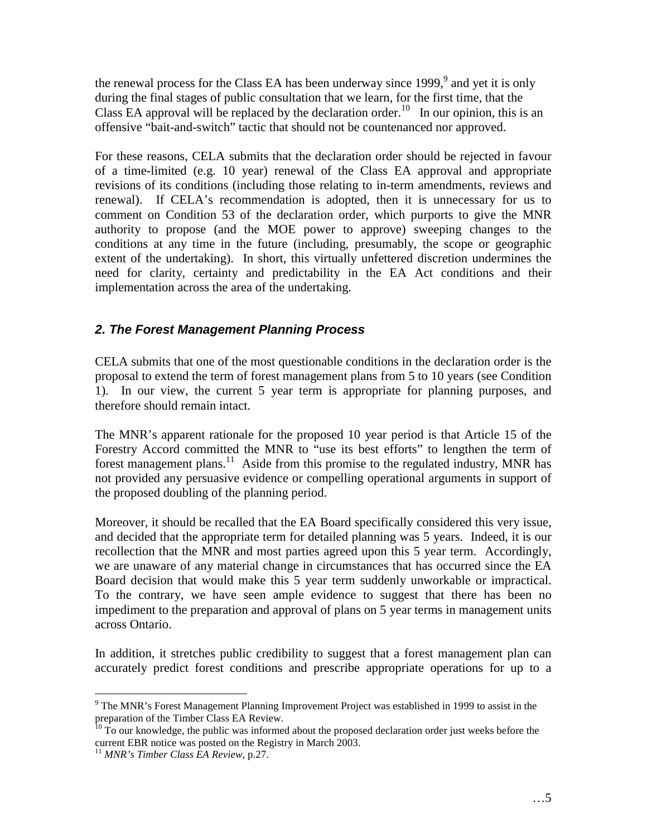the renewal process for the Class EA has been underway since  $1999,^9$  and yet it is only during the final stages of public consultation that we learn, for the first time, that the Class EA approval will be replaced by the declaration order.<sup>10</sup> In our opinion, this is an offensive "bait-and-switch" tactic that should not be countenanced nor approved.

For these reasons, CELA submits that the declaration order should be rejected in favour of a time-limited (e.g. 10 year) renewal of the Class EA approval and appropriate revisions of its conditions (including those relating to in-term amendments, reviews and renewal). If CELA's recommendation is adopted, then it is unnecessary for us to comment on Condition 53 of the declaration order, which purports to give the MNR authority to propose (and the MOE power to approve) sweeping changes to the conditions at any time in the future (including, presumably, the scope or geographic extent of the undertaking). In short, this virtually unfettered discretion undermines the need for clarity, certainty and predictability in the EA Act conditions and their implementation across the area of the undertaking.

## *2. The Forest Management Planning Process*

CELA submits that one of the most questionable conditions in the declaration order is the proposal to extend the term of forest management plans from 5 to 10 years (see Condition 1). In our view, the current 5 year term is appropriate for planning purposes, and therefore should remain intact.

The MNR's apparent rationale for the proposed 10 year period is that Article 15 of the Forestry Accord committed the MNR to "use its best efforts" to lengthen the term of forest management plans.<sup>11</sup> Aside from this promise to the regulated industry, MNR has not provided any persuasive evidence or compelling operational arguments in support of the proposed doubling of the planning period.

Moreover, it should be recalled that the EA Board specifically considered this very issue, and decided that the appropriate term for detailed planning was 5 years. Indeed, it is our recollection that the MNR and most parties agreed upon this 5 year term. Accordingly, we are unaware of any material change in circumstances that has occurred since the EA Board decision that would make this 5 year term suddenly unworkable or impractical. To the contrary, we have seen ample evidence to suggest that there has been no impediment to the preparation and approval of plans on 5 year terms in management units across Ontario.

In addition, it stretches public credibility to suggest that a forest management plan can accurately predict forest conditions and prescribe appropriate operations for up to a

 $9$  The MNR's Forest Management Planning Improvement Project was established in 1999 to assist in the preparation of the Timber Class EA Review.

 $10$  To our knowledge, the public was informed about the proposed declaration order just weeks before the current EBR notice was posted on the Registry in March 2003.

<sup>11</sup> *MNR's Timber Class EA Review,* p.27.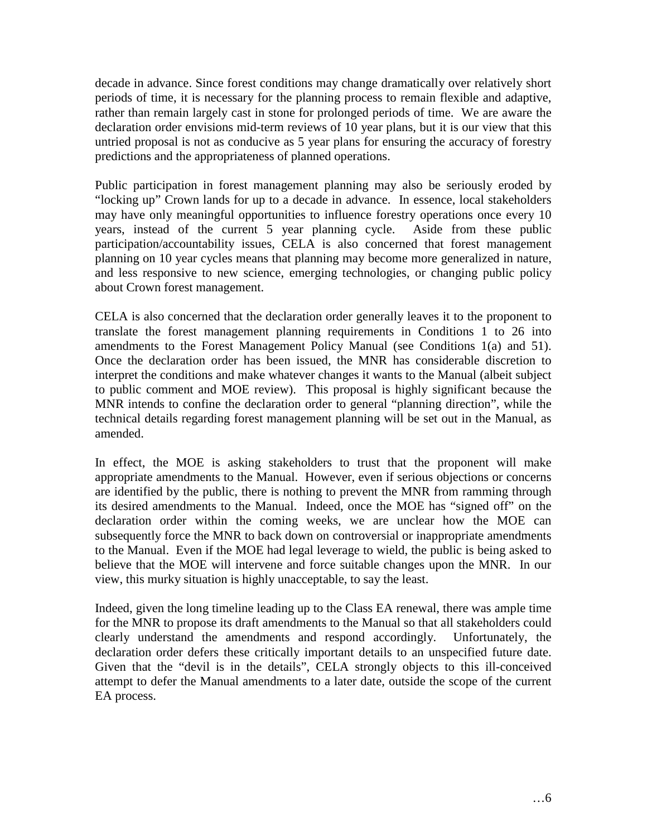decade in advance. Since forest conditions may change dramatically over relatively short periods of time, it is necessary for the planning process to remain flexible and adaptive, rather than remain largely cast in stone for prolonged periods of time. We are aware the declaration order envisions mid-term reviews of 10 year plans, but it is our view that this untried proposal is not as conducive as 5 year plans for ensuring the accuracy of forestry predictions and the appropriateness of planned operations.

Public participation in forest management planning may also be seriously eroded by "locking up" Crown lands for up to a decade in advance. In essence, local stakeholders may have only meaningful opportunities to influence forestry operations once every 10 years, instead of the current 5 year planning cycle. Aside from these public participation/accountability issues, CELA is also concerned that forest management planning on 10 year cycles means that planning may become more generalized in nature, and less responsive to new science, emerging technologies, or changing public policy about Crown forest management.

CELA is also concerned that the declaration order generally leaves it to the proponent to translate the forest management planning requirements in Conditions 1 to 26 into amendments to the Forest Management Policy Manual (see Conditions 1(a) and 51). Once the declaration order has been issued, the MNR has considerable discretion to interpret the conditions and make whatever changes it wants to the Manual (albeit subject to public comment and MOE review). This proposal is highly significant because the MNR intends to confine the declaration order to general "planning direction", while the technical details regarding forest management planning will be set out in the Manual, as amended.

In effect, the MOE is asking stakeholders to trust that the proponent will make appropriate amendments to the Manual. However, even if serious objections or concerns are identified by the public, there is nothing to prevent the MNR from ramming through its desired amendments to the Manual. Indeed, once the MOE has "signed off" on the declaration order within the coming weeks, we are unclear how the MOE can subsequently force the MNR to back down on controversial or inappropriate amendments to the Manual. Even if the MOE had legal leverage to wield, the public is being asked to believe that the MOE will intervene and force suitable changes upon the MNR. In our view, this murky situation is highly unacceptable, to say the least.

Indeed, given the long timeline leading up to the Class EA renewal, there was ample time for the MNR to propose its draft amendments to the Manual so that all stakeholders could clearly understand the amendments and respond accordingly. Unfortunately, the declaration order defers these critically important details to an unspecified future date. Given that the "devil is in the details", CELA strongly objects to this ill-conceived attempt to defer the Manual amendments to a later date, outside the scope of the current EA process.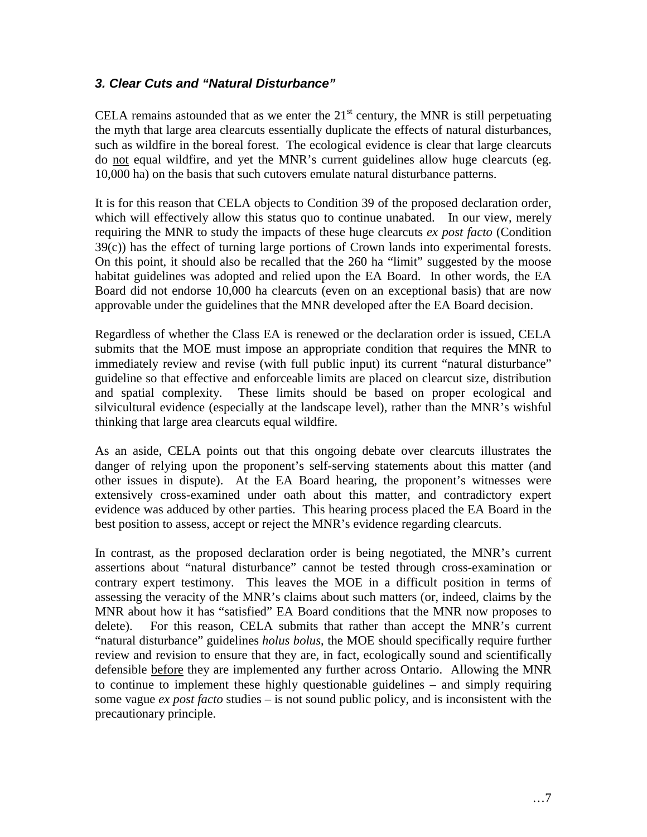## *3. Clear Cuts and "Natural Disturbance"*

CELA remains astounded that as we enter the  $21<sup>st</sup>$  century, the MNR is still perpetuating the myth that large area clearcuts essentially duplicate the effects of natural disturbances, such as wildfire in the boreal forest. The ecological evidence is clear that large clearcuts do not equal wildfire, and yet the MNR's current guidelines allow huge clearcuts (eg. 10,000 ha) on the basis that such cutovers emulate natural disturbance patterns.

It is for this reason that CELA objects to Condition 39 of the proposed declaration order, which will effectively allow this status quo to continue unabated. In our view, merely requiring the MNR to study the impacts of these huge clearcuts *ex post facto* (Condition 39(c)) has the effect of turning large portions of Crown lands into experimental forests. On this point, it should also be recalled that the 260 ha "limit" suggested by the moose habitat guidelines was adopted and relied upon the EA Board. In other words, the EA Board did not endorse 10,000 ha clearcuts (even on an exceptional basis) that are now approvable under the guidelines that the MNR developed after the EA Board decision.

Regardless of whether the Class EA is renewed or the declaration order is issued, CELA submits that the MOE must impose an appropriate condition that requires the MNR to immediately review and revise (with full public input) its current "natural disturbance" guideline so that effective and enforceable limits are placed on clearcut size, distribution and spatial complexity. These limits should be based on proper ecological and silvicultural evidence (especially at the landscape level), rather than the MNR's wishful thinking that large area clearcuts equal wildfire.

As an aside, CELA points out that this ongoing debate over clearcuts illustrates the danger of relying upon the proponent's self-serving statements about this matter (and other issues in dispute). At the EA Board hearing, the proponent's witnesses were extensively cross-examined under oath about this matter, and contradictory expert evidence was adduced by other parties. This hearing process placed the EA Board in the best position to assess, accept or reject the MNR's evidence regarding clearcuts.

In contrast, as the proposed declaration order is being negotiated, the MNR's current assertions about "natural disturbance" cannot be tested through cross-examination or contrary expert testimony. This leaves the MOE in a difficult position in terms of assessing the veracity of the MNR's claims about such matters (or, indeed, claims by the MNR about how it has "satisfied" EA Board conditions that the MNR now proposes to delete). For this reason, CELA submits that rather than accept the MNR's current "natural disturbance" guidelines *holus bolus*, the MOE should specifically require further review and revision to ensure that they are, in fact, ecologically sound and scientifically defensible before they are implemented any further across Ontario. Allowing the MNR to continue to implement these highly questionable guidelines – and simply requiring some vague *ex post facto* studies – is not sound public policy, and is inconsistent with the precautionary principle.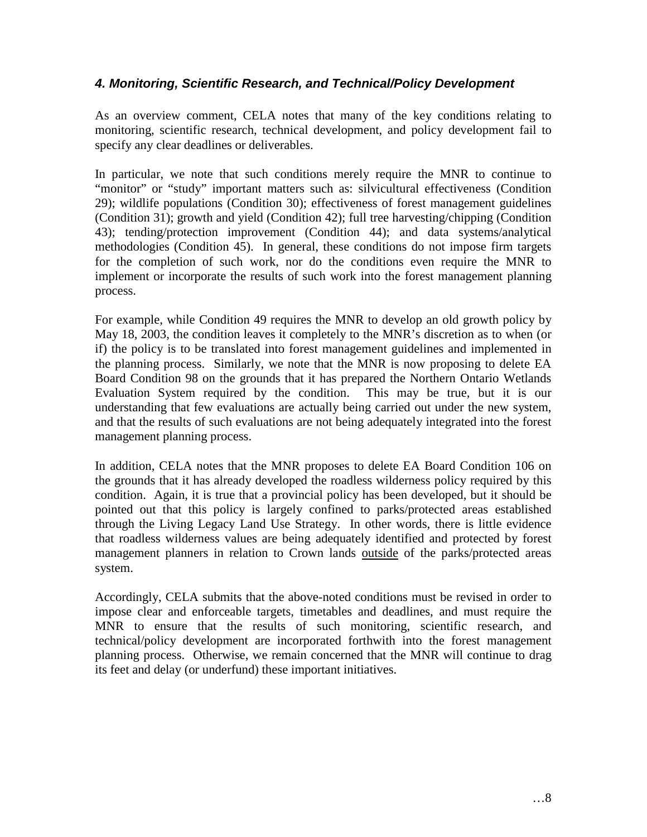## *4. Monitoring, Scientific Research, and Technical/Policy Development*

As an overview comment, CELA notes that many of the key conditions relating to monitoring, scientific research, technical development, and policy development fail to specify any clear deadlines or deliverables.

In particular, we note that such conditions merely require the MNR to continue to "monitor" or "study" important matters such as: silvicultural effectiveness (Condition 29); wildlife populations (Condition 30); effectiveness of forest management guidelines (Condition 31); growth and yield (Condition 42); full tree harvesting/chipping (Condition 43); tending/protection improvement (Condition 44); and data systems/analytical methodologies (Condition 45). In general, these conditions do not impose firm targets for the completion of such work, nor do the conditions even require the MNR to implement or incorporate the results of such work into the forest management planning process.

For example, while Condition 49 requires the MNR to develop an old growth policy by May 18, 2003, the condition leaves it completely to the MNR's discretion as to when (or if) the policy is to be translated into forest management guidelines and implemented in the planning process. Similarly, we note that the MNR is now proposing to delete EA Board Condition 98 on the grounds that it has prepared the Northern Ontario Wetlands Evaluation System required by the condition. This may be true, but it is our understanding that few evaluations are actually being carried out under the new system, and that the results of such evaluations are not being adequately integrated into the forest management planning process.

In addition, CELA notes that the MNR proposes to delete EA Board Condition 106 on the grounds that it has already developed the roadless wilderness policy required by this condition. Again, it is true that a provincial policy has been developed, but it should be pointed out that this policy is largely confined to parks/protected areas established through the Living Legacy Land Use Strategy. In other words, there is little evidence that roadless wilderness values are being adequately identified and protected by forest management planners in relation to Crown lands outside of the parks/protected areas system.

Accordingly, CELA submits that the above-noted conditions must be revised in order to impose clear and enforceable targets, timetables and deadlines, and must require the MNR to ensure that the results of such monitoring, scientific research, and technical/policy development are incorporated forthwith into the forest management planning process. Otherwise, we remain concerned that the MNR will continue to drag its feet and delay (or underfund) these important initiatives.